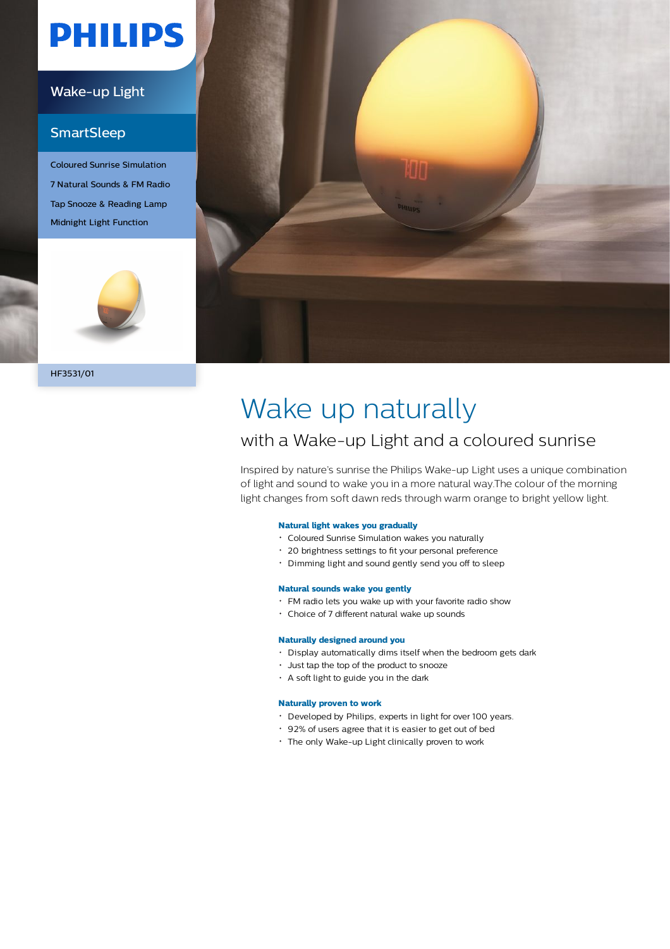# **PHILIPS**

### Wake-up Light

## **SmartSleep**

Coloured Sunrise Simulation 7 Natural Sounds & FM Radio Tap Snooze & Reading Lamp Midnight Light Function





# Wake up naturally

## with a Wake-up Light and a coloured sunrise

Inspired by nature's sunrise the Philips Wake-up Light uses a unique combination of light and sound to wake you in a more natural way.The colour of the morning light changes from soft dawn reds through warm orange to bright yellow light.

### **Natural light wakes you gradually**

- Coloured Sunrise Simulation wakes you naturally
- 20 brightness settings to fit your personal preference
- Dimming light and sound gently send you off to sleep

### **Natural sounds wake you gently**

- FM radio lets you wake up with your favorite radio show
- Choice of 7 different natural wake up sounds

### **Naturally designed around you**

- Display automatically dims itself when the bedroom gets dark
- Just tap the top of the product to snooze
- A soft light to guide you in the dark

### **Naturally proven to work**

- Developed by Philips, experts in light for over 100 years.
- 92% of users agree that it is easier to get out of bed
- The only Wake-up Light clinically proven to work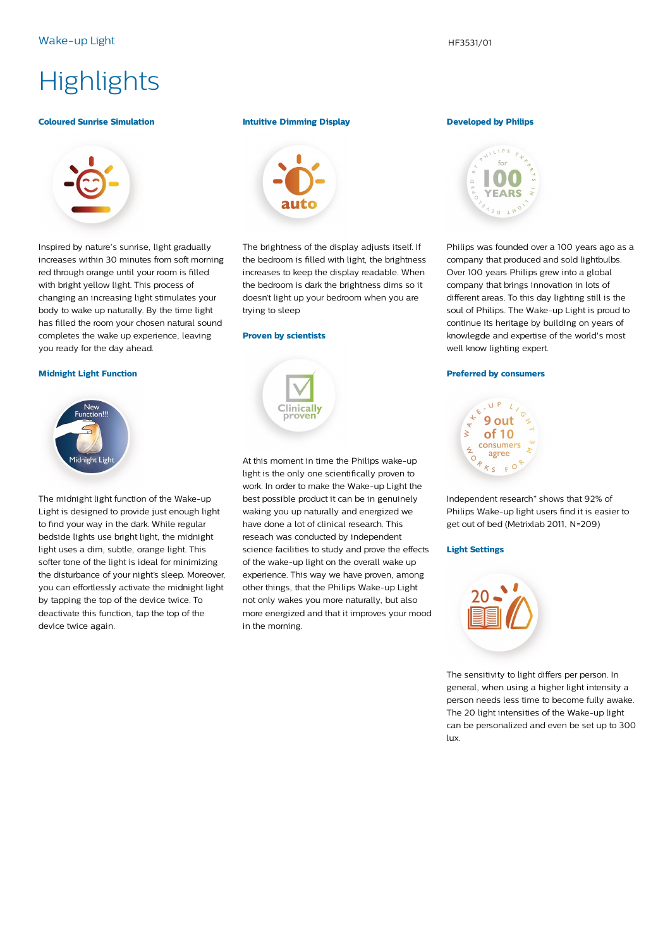## **Highlights**

### **Coloured Sunrise Simulation**



Inspired by nature's sunrise, light gradually increases within 30 minutes from soft morning red through orange until your room is filled with bright yellow light. This process of changing an increasing light stimulates your body to wake up naturally. By the time light has filled the room your chosen natural sound completes the wake up experience, leaving you ready for the day ahead.

### **Midnight Light Function**



The midnight light function of the Wake-up Light is designed to provide just enough light to find your way in the dark. While regular bedside lights use bright light, the midnight light uses a dim, subtle, orange light. This softer tone of the light is ideal for minimizing the disturbance of your night's sleep. Moreover, you can effortlessly activate the midnight light by tapping the top of the device twice. To deactivate this function, tap the top of the device twice again.

### **Intuitive Dimming Display**



The brightness of the display adjusts itself. If the bedroom is filled with light, the brightness increases to keep the display readable. When the bedroom is dark the brightness dims so it doesn't light up your bedroom when you are trying to sleep

### **Proven by scientists**

# **Clinically**

At this moment in time the Philips wake-up light is the only one scientifically proven to work. In order to make the Wake-up Light the best possible product it can be in genuinely waking you up naturally and energized we have done a lot of clinical research. This reseach was conducted by independent science facilities to study and prove the effects of the wake-up light on the overall wake up experience. This way we have proven, among other things, that the Philips Wake-up Light not only wakes you more naturally, but also more energized and that it improves your mood in the morning.

### **Developed by Philips**



Philips was founded over a 100 years ago as a company that produced and sold lightbulbs. Over 100 years Philips grew into a global company that brings innovation in lots of different areas. To this day lighting still is the soul of Philips. The Wake-up Light is proud to continue its heritage by building on years of knowlegde and expertise of the world's most well know lighting expert.

### **Preferred by consumers**



Independent research\* shows that 92% of Philips Wake-up light users find it is easier to get out of bed (Metrixlab 2011, N=209)

### **Light Settings**



The sensitivity to light differs per person. In general, when using a higher light intensity a person needs less time to become fully awake. The 20 light intensities of the Wake-up light can be personalized and even be set up to 300 lux.